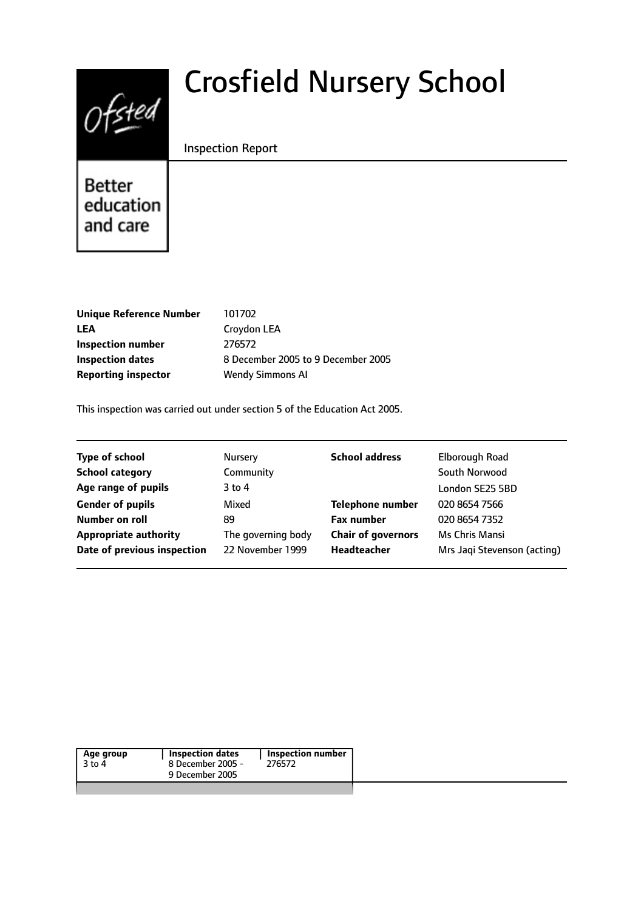

# Crosfield Nursery School

#### Inspection Report

**Better** education and care

| <b>Unique Reference Number</b> | 101702  |
|--------------------------------|---------|
| LEA                            | Croydo  |
| <b>Inspection number</b>       | 276572  |
| <b>Inspection dates</b>        | 8 Decer |
| <b>Reporting inspector</b>     | Wendy   |

don LEA **Inspectively** 2005 to 9 December 2005 **Report Simmons AI** 

This inspection was carried out under section 5 of the Education Act 2005.

| <b>Type of school</b>        | <b>Nursery</b>     | <b>School address</b>     | Elborough Road              |
|------------------------------|--------------------|---------------------------|-----------------------------|
| <b>School category</b>       | Community          |                           | South Norwood               |
| Age range of pupils          | 3 to 4             |                           | London SE25 5BD             |
| <b>Gender of pupils</b>      | Mixed              | <b>Telephone number</b>   | 020 8654 7566               |
| Number on roll               | 89                 | <b>Fax number</b>         | 020 8654 7352               |
| <b>Appropriate authority</b> | The governing body | <b>Chair of governors</b> | Ms Chris Mansi              |
| Date of previous inspection  | 22 November 1999   | Headteacher               | Mrs Jagi Stevenson (acting) |
|                              |                    |                           |                             |

| Age group<br>$3$ to 4 | Inspection dates<br>8 December 2005 - | <b>Inspection number</b>  <br>276572 |  |
|-----------------------|---------------------------------------|--------------------------------------|--|
|                       | 9 December 2005                       |                                      |  |
|                       |                                       |                                      |  |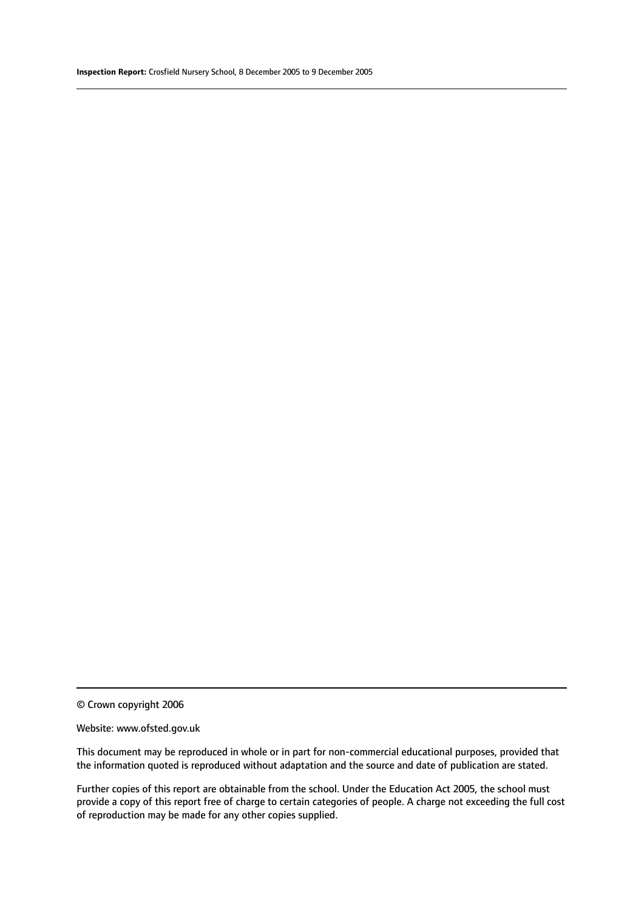© Crown copyright 2006

#### Website: www.ofsted.gov.uk

This document may be reproduced in whole or in part for non-commercial educational purposes, provided that the information quoted is reproduced without adaptation and the source and date of publication are stated.

Further copies of this report are obtainable from the school. Under the Education Act 2005, the school must provide a copy of this report free of charge to certain categories of people. A charge not exceeding the full cost of reproduction may be made for any other copies supplied.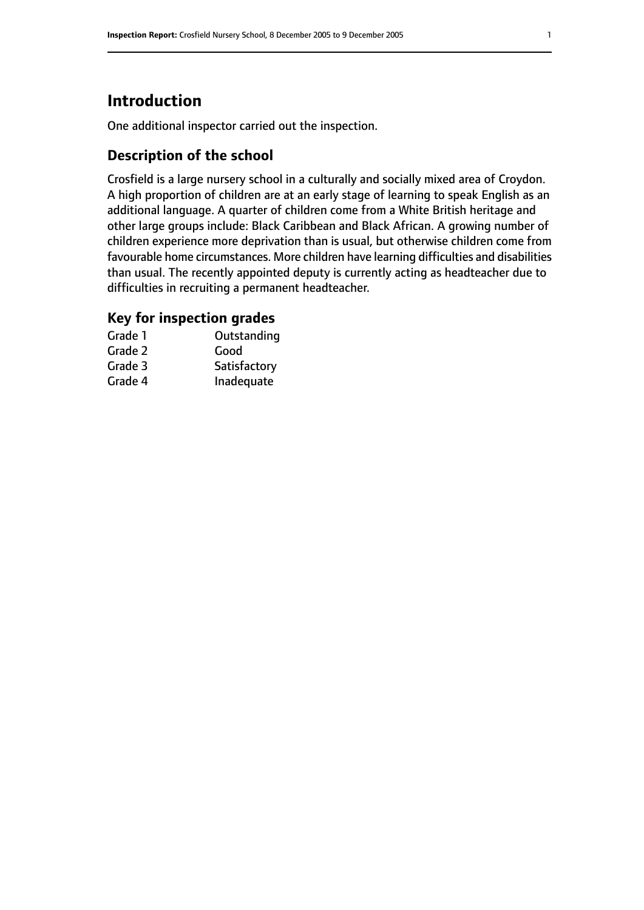# **Introduction**

One additional inspector carried out the inspection.

#### **Description of the school**

Crosfield is a large nursery school in a culturally and socially mixed area of Croydon. A high proportion of children are at an early stage of learning to speak English as an additional language. A quarter of children come from a White British heritage and other large groups include: Black Caribbean and Black African. A growing number of children experience more deprivation than is usual, but otherwise children come from favourable home circumstances. More children have learning difficulties and disabilities than usual. The recently appointed deputy is currently acting as headteacher due to difficulties in recruiting a permanent headteacher.

### **Key for inspection grades**

| Grade 1 | Outstanding  |
|---------|--------------|
| Grade 2 | Good         |
| Grade 3 | Satisfactory |
| Grade 4 | Inadequate   |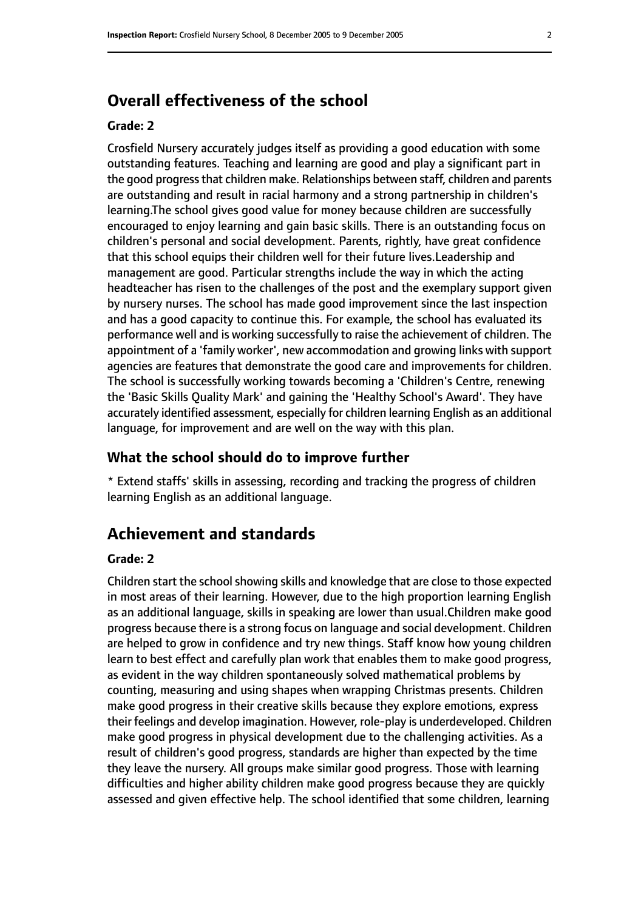# **Overall effectiveness of the school**

#### **Grade: 2**

Crosfield Nursery accurately judges itself as providing a good education with some outstanding features. Teaching and learning are good and play a significant part in the good progress that children make. Relationships between staff, children and parents are outstanding and result in racial harmony and a strong partnership in children's learning.The school gives good value for money because children are successfully encouraged to enjoy learning and gain basic skills. There is an outstanding focus on children's personal and social development. Parents, rightly, have great confidence that this school equips their children well for their future lives.Leadership and management are good. Particular strengths include the way in which the acting headteacher has risen to the challenges of the post and the exemplary support given by nursery nurses. The school has made good improvement since the last inspection and has a good capacity to continue this. For example, the school has evaluated its performance well and is working successfully to raise the achievement of children. The appointment of a 'family worker', new accommodation and growing links with support agencies are features that demonstrate the good care and improvements for children. The school is successfully working towards becoming a 'Children's Centre, renewing the 'Basic Skills Quality Mark' and gaining the 'Healthy School's Award'. They have accurately identified assessment, especially for children learning English as an additional language, for improvement and are well on the way with this plan.

#### **What the school should do to improve further**

\* Extend staffs' skills in assessing, recording and tracking the progress of children learning English as an additional language.

## **Achievement and standards**

#### **Grade: 2**

Children start the school showing skills and knowledge that are close to those expected in most areas of their learning. However, due to the high proportion learning English as an additional language, skills in speaking are lower than usual.Children make good progress because there is a strong focus on language and social development. Children are helped to grow in confidence and try new things. Staff know how young children learn to best effect and carefully plan work that enables them to make good progress, as evident in the way children spontaneously solved mathematical problems by counting, measuring and using shapes when wrapping Christmas presents. Children make good progress in their creative skills because they explore emotions, express their feelings and develop imagination. However, role-play is underdeveloped. Children make good progress in physical development due to the challenging activities. As a result of children's good progress, standards are higher than expected by the time they leave the nursery. All groups make similar good progress. Those with learning difficulties and higher ability children make good progress because they are quickly assessed and given effective help. The school identified that some children, learning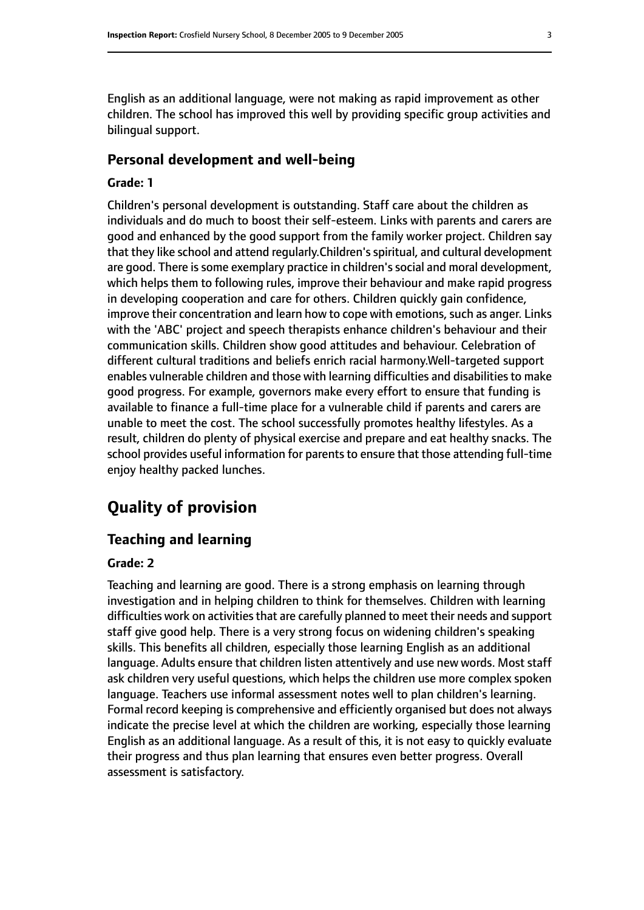English as an additional language, were not making as rapid improvement as other children. The school has improved this well by providing specific group activities and bilingual support.

#### **Personal development and well-being**

#### **Grade: 1**

Children's personal development is outstanding. Staff care about the children as individuals and do much to boost their self-esteem. Links with parents and carers are good and enhanced by the good support from the family worker project. Children say that they like school and attend regularly.Children'sspiritual, and cultural development are good. There is some exemplary practice in children's social and moral development, which helps them to following rules, improve their behaviour and make rapid progress in developing cooperation and care for others. Children quickly gain confidence, improve their concentration and learn how to cope with emotions, such as anger. Links with the 'ABC' project and speech therapists enhance children's behaviour and their communication skills. Children show good attitudes and behaviour. Celebration of different cultural traditions and beliefs enrich racial harmony.Well-targeted support enables vulnerable children and those with learning difficulties and disabilities to make good progress. For example, governors make every effort to ensure that funding is available to finance a full-time place for a vulnerable child if parents and carers are unable to meet the cost. The school successfully promotes healthy lifestyles. As a result, children do plenty of physical exercise and prepare and eat healthy snacks. The school provides useful information for parents to ensure that those attending full-time enjoy healthy packed lunches.

# **Quality of provision**

#### **Teaching and learning**

#### **Grade: 2**

Teaching and learning are good. There is a strong emphasis on learning through investigation and in helping children to think for themselves. Children with learning difficulties work on activities that are carefully planned to meet their needs and support staff give good help. There is a very strong focus on widening children's speaking skills. This benefits all children, especially those learning English as an additional language. Adults ensure that children listen attentively and use new words. Most staff ask children very useful questions, which helps the children use more complex spoken language. Teachers use informal assessment notes well to plan children's learning. Formal record keeping is comprehensive and efficiently organised but does not always indicate the precise level at which the children are working, especially those learning English as an additional language. As a result of this, it is not easy to quickly evaluate their progress and thus plan learning that ensures even better progress. Overall assessment is satisfactory.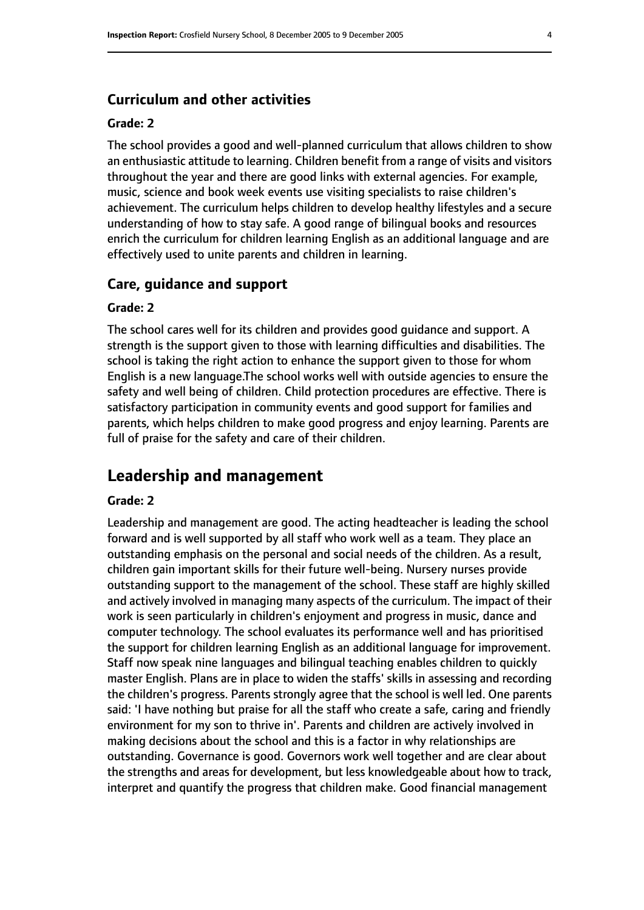#### **Curriculum and other activities**

#### **Grade: 2**

The school provides a good and well-planned curriculum that allows children to show an enthusiastic attitude to learning. Children benefit from a range of visits and visitors throughout the year and there are good links with external agencies. For example, music, science and book week events use visiting specialists to raise children's achievement. The curriculum helps children to develop healthy lifestyles and a secure understanding of how to stay safe. A good range of bilingual books and resources enrich the curriculum for children learning English as an additional language and are effectively used to unite parents and children in learning.

#### **Care, guidance and support**

#### **Grade: 2**

The school cares well for its children and provides good guidance and support. A strength is the support given to those with learning difficulties and disabilities. The school is taking the right action to enhance the support given to those for whom English is a new language.The school works well with outside agencies to ensure the safety and well being of children. Child protection procedures are effective. There is satisfactory participation in community events and good support for families and parents, which helps children to make good progress and enjoy learning. Parents are full of praise for the safety and care of their children.

# **Leadership and management**

#### **Grade: 2**

Leadership and management are good. The acting headteacher is leading the school forward and is well supported by all staff who work well as a team. They place an outstanding emphasis on the personal and social needs of the children. As a result, children gain important skills for their future well-being. Nursery nurses provide outstanding support to the management of the school. These staff are highly skilled and actively involved in managing many aspects of the curriculum. The impact of their work is seen particularly in children's enjoyment and progress in music, dance and computer technology. The school evaluates its performance well and has prioritised the support for children learning English as an additional language for improvement. Staff now speak nine languages and bilingual teaching enables children to quickly master English. Plans are in place to widen the staffs' skills in assessing and recording the children's progress. Parents strongly agree that the school is well led. One parents said: 'I have nothing but praise for all the staff who create a safe, caring and friendly environment for my son to thrive in'. Parents and children are actively involved in making decisions about the school and this is a factor in why relationships are outstanding. Governance is good. Governors work well together and are clear about the strengths and areas for development, but less knowledgeable about how to track, interpret and quantify the progress that children make. Good financial management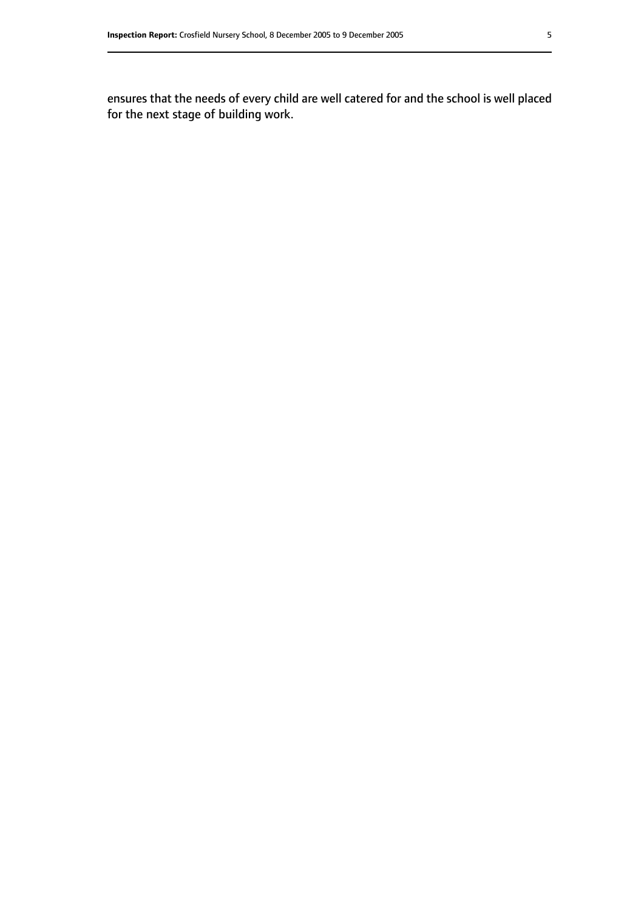ensures that the needs of every child are well catered for and the school is well placed for the next stage of building work.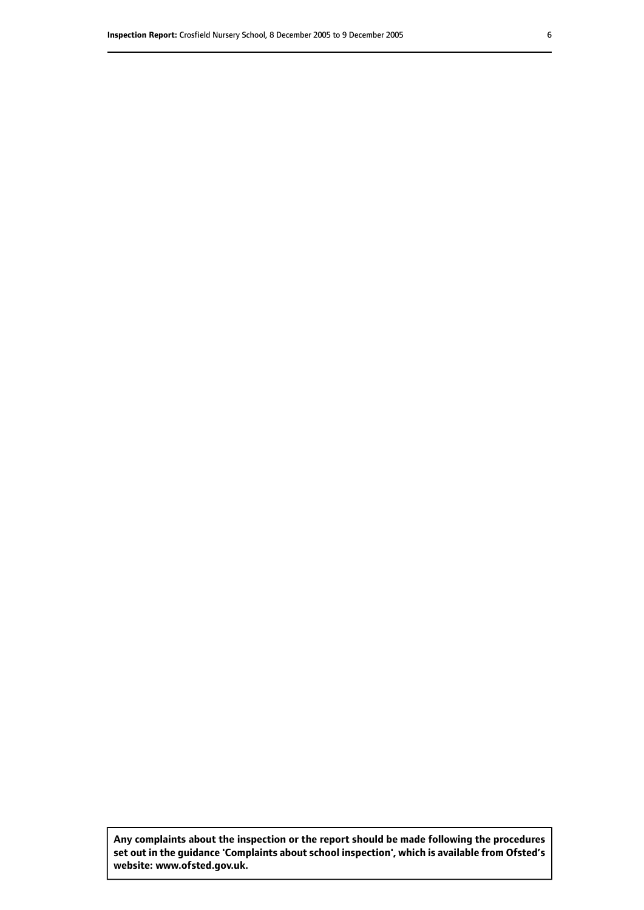**Any complaints about the inspection or the report should be made following the procedures set out inthe guidance 'Complaints about school inspection', whichis available from Ofsted's website: www.ofsted.gov.uk.**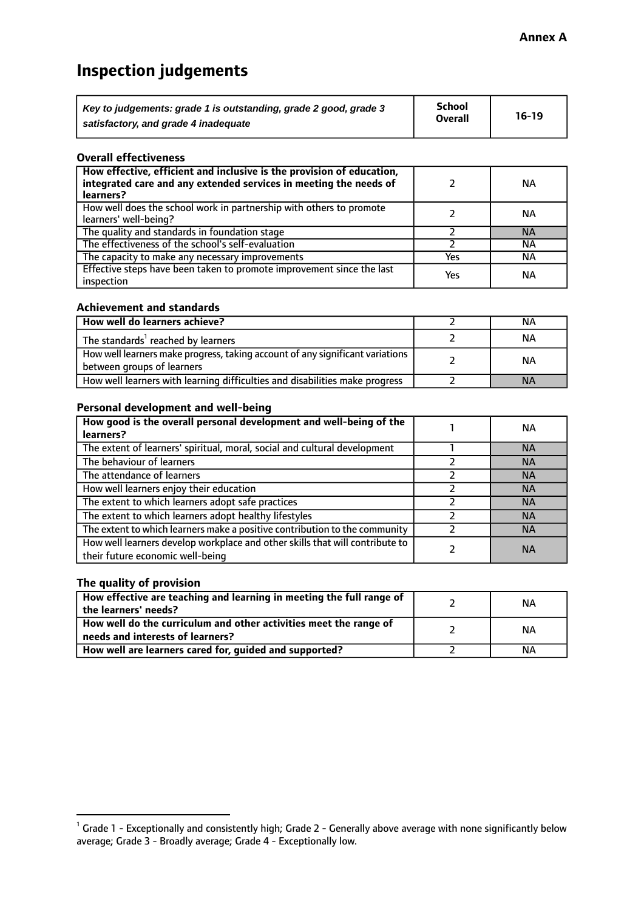# **Inspection judgements**

| Key to judgements: grade 1 is outstanding, grade 2 good, grade 3 | <b>School</b>  | $16-19$ |
|------------------------------------------------------------------|----------------|---------|
| satisfactory, and grade 4 inadequate                             | <b>Overall</b> |         |

#### **Overall effectiveness**

| How effective, efficient and inclusive is the provision of education,<br>integrated care and any extended services in meeting the needs of<br>learners? |     | <b>NA</b> |
|---------------------------------------------------------------------------------------------------------------------------------------------------------|-----|-----------|
| How well does the school work in partnership with others to promote<br>learners' well-being?                                                            |     | ΝA        |
| The quality and standards in foundation stage                                                                                                           |     | <b>NA</b> |
| The effectiveness of the school's self-evaluation                                                                                                       |     | ΝA        |
| The capacity to make any necessary improvements                                                                                                         | Yes | NА        |
| Effective steps have been taken to promote improvement since the last<br>inspection                                                                     | Yes | <b>NA</b> |

#### **Achievement and standards**

| How well do learners achieve?                                                                               | ΝA        |
|-------------------------------------------------------------------------------------------------------------|-----------|
| The standards <sup>1</sup> reached by learners                                                              | NА        |
| How well learners make progress, taking account of any significant variations<br>between groups of learners | <b>NA</b> |
| How well learners with learning difficulties and disabilities make progress                                 | <b>NA</b> |

#### **Personal development and well-being**

| How good is the overall personal development and well-being of the<br>learners?                                  | ΝA        |
|------------------------------------------------------------------------------------------------------------------|-----------|
| The extent of learners' spiritual, moral, social and cultural development                                        | <b>NA</b> |
| The behaviour of learners                                                                                        | <b>NA</b> |
| The attendance of learners                                                                                       | <b>NA</b> |
| How well learners enjoy their education                                                                          | <b>NA</b> |
| The extent to which learners adopt safe practices                                                                | <b>NA</b> |
| The extent to which learners adopt healthy lifestyles                                                            | <b>NA</b> |
| The extent to which learners make a positive contribution to the community                                       | <b>NA</b> |
| How well learners develop workplace and other skills that will contribute to<br>their future economic well-being | <b>NA</b> |

#### **The quality of provision**

| How effective are teaching and learning in meeting the full range of<br>the learners' needs?          | ΝA |
|-------------------------------------------------------------------------------------------------------|----|
| How well do the curriculum and other activities meet the range of<br>needs and interests of learners? | ΝA |
| How well are learners cared for, guided and supported?                                                | NА |

 $^1$  Grade 1 - Exceptionally and consistently high; Grade 2 - Generally above average with none significantly below average; Grade 3 - Broadly average; Grade 4 - Exceptionally low.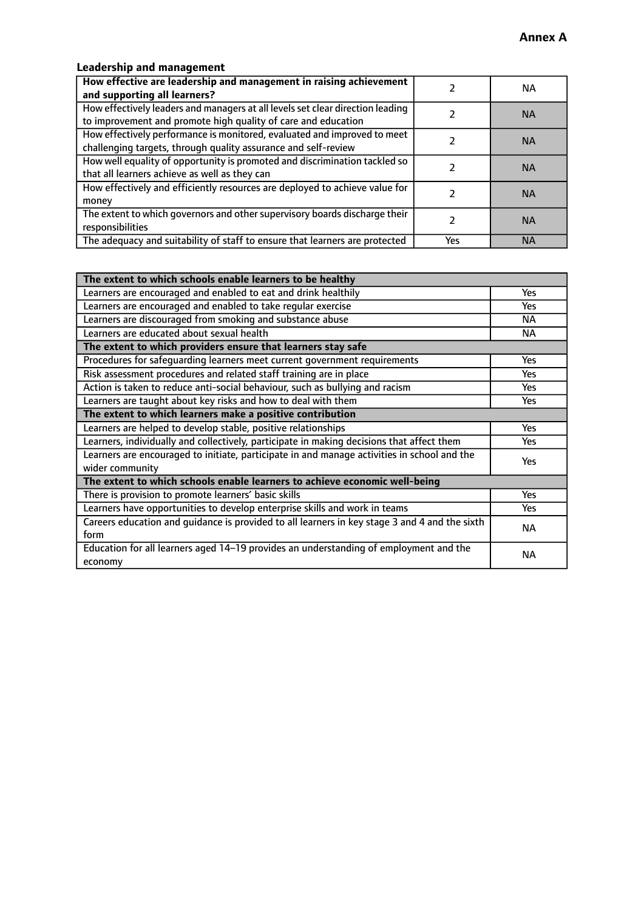## **Leadership and management**

| How effective are leadership and management in raising achievement<br>and supporting all learners?                                              |     | NA.       |
|-------------------------------------------------------------------------------------------------------------------------------------------------|-----|-----------|
| How effectively leaders and managers at all levels set clear direction leading<br>to improvement and promote high quality of care and education |     | <b>NA</b> |
| How effectively performance is monitored, evaluated and improved to meet<br>challenging targets, through quality assurance and self-review      |     | <b>NA</b> |
| How well equality of opportunity is promoted and discrimination tackled so<br>that all learners achieve as well as they can                     |     | <b>NA</b> |
| How effectively and efficiently resources are deployed to achieve value for<br>money                                                            |     | <b>NA</b> |
| The extent to which governors and other supervisory boards discharge their<br>responsibilities                                                  |     | <b>NA</b> |
| The adequacy and suitability of staff to ensure that learners are protected                                                                     | Yes | <b>NA</b> |

| The extent to which schools enable learners to be healthy                                     |            |
|-----------------------------------------------------------------------------------------------|------------|
| Learners are encouraged and enabled to eat and drink healthily                                | Yes        |
| Learners are encouraged and enabled to take regular exercise                                  | Yes        |
| Learners are discouraged from smoking and substance abuse                                     | <b>NA</b>  |
| Learners are educated about sexual health                                                     | <b>NA</b>  |
| The extent to which providers ensure that learners stay safe                                  |            |
| Procedures for safequarding learners meet current government requirements                     | Yes        |
| Risk assessment procedures and related staff training are in place                            | Yes        |
| Action is taken to reduce anti-social behaviour, such as bullying and racism                  | Yes        |
| Learners are taught about key risks and how to deal with them                                 |            |
| The extent to which learners make a positive contribution                                     |            |
| Learners are helped to develop stable, positive relationships                                 | Yes        |
| Learners, individually and collectively, participate in making decisions that affect them     | Yes        |
| Learners are encouraged to initiate, participate in and manage activities in school and the   | <b>Yes</b> |
| wider community                                                                               |            |
| The extent to which schools enable learners to achieve economic well-being                    |            |
| There is provision to promote learners' basic skills                                          | Yes        |
| Learners have opportunities to develop enterprise skills and work in teams                    | <b>Yes</b> |
| Careers education and guidance is provided to all learners in key stage 3 and 4 and the sixth | <b>NA</b>  |
| form                                                                                          |            |
| Education for all learners aged 14-19 provides an understanding of employment and the         | NА         |
| economy                                                                                       |            |